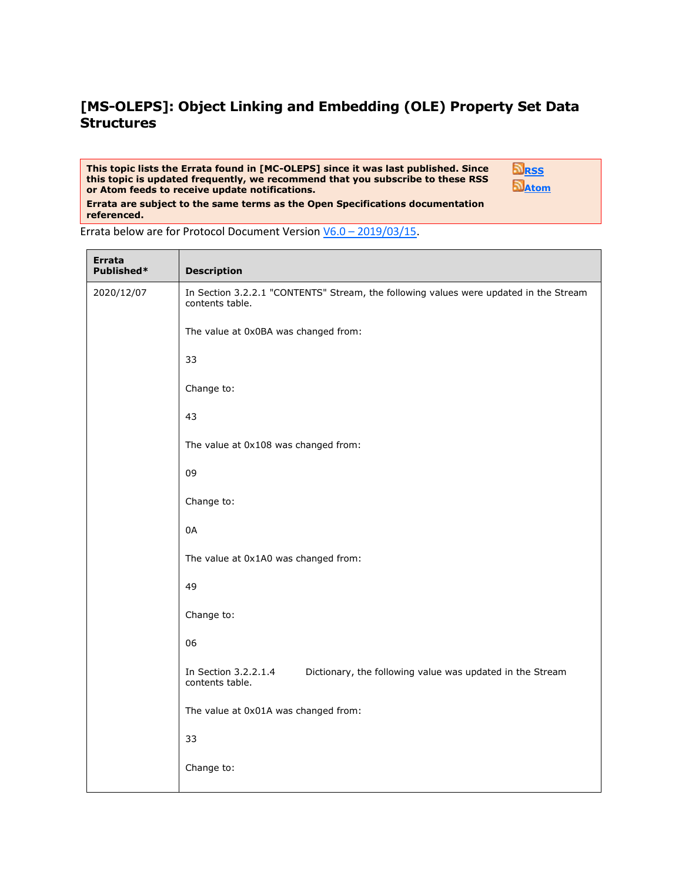## **[MS-OLEPS]: Object Linking and Embedding (OLE) Property Set Data Structures**

## **This topic lists the Errata found in [MC-OLEPS] since it was last published. Since this topic is updated frequently, we recommend that you subscribe to these RSS or Atom feeds to receive update notifications.**

**[RSS](http://blogs.msdn.com/b/protocol_content_errata/rss.aspx) [Atom](http://blogs.msdn.com/b/protocol_content_errata/atom.aspx)**

**Errata are subject to the same terms as the Open Specifications documentation referenced.**

**Errata Description** 2020/12/07 **In Section 3.2.2.1 "CONTENTS" Stream, the following values were updated in the Stream** contents table. The value at 0x0BA was changed from: 33 Change to: 43 The value at 0x108 was changed from: 09 Change to: 0A The value at 0x1A0 was changed from: 49 Change to: 06 In Section 3.2.2.1.4 Dictionary, the following value was updated in the Stream contents table. The value at 0x01A was changed from: 33 Change to:

Errata below are for Protocol Document Version V6.0 – [2019/03/15.](https://docs.microsoft.com/en-us/openspecs/windows_protocols/ms-oleps/bf7aeae8-c47a-4939-9f45-700158dac3bc)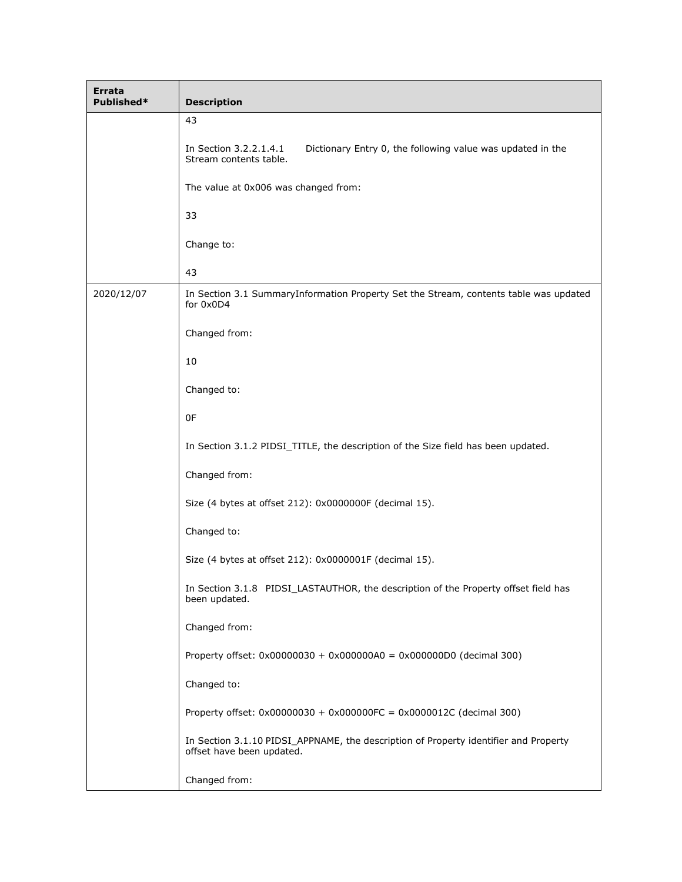| Errata<br>Published* | <b>Description</b>                                                                                                |
|----------------------|-------------------------------------------------------------------------------------------------------------------|
|                      | 43                                                                                                                |
|                      | In Section 3.2.2.1.4.1<br>Dictionary Entry 0, the following value was updated in the<br>Stream contents table.    |
|                      | The value at 0x006 was changed from:                                                                              |
|                      | 33                                                                                                                |
|                      | Change to:                                                                                                        |
|                      | 43                                                                                                                |
| 2020/12/07           | In Section 3.1 SummaryInformation Property Set the Stream, contents table was updated<br>for 0x0D4                |
|                      | Changed from:                                                                                                     |
|                      | 10                                                                                                                |
|                      | Changed to:                                                                                                       |
|                      | 0F                                                                                                                |
|                      | In Section 3.1.2 PIDSI_TITLE, the description of the Size field has been updated.                                 |
|                      | Changed from:                                                                                                     |
|                      | Size (4 bytes at offset 212): 0x0000000F (decimal 15).                                                            |
|                      | Changed to:                                                                                                       |
|                      | Size (4 bytes at offset 212): 0x0000001F (decimal 15).                                                            |
|                      | In Section 3.1.8 PIDSI_LASTAUTHOR, the description of the Property offset field has<br>been updated.              |
|                      | Changed from:                                                                                                     |
|                      | Property offset: $0 \times 00000030 + 0 \times 000000040 = 0 \times 00000000$ (decimal 300)                       |
|                      | Changed to:                                                                                                       |
|                      | Property offset: $0x00000030 + 0x000000FC = 0x0000012C$ (decimal 300)                                             |
|                      | In Section 3.1.10 PIDSI_APPNAME, the description of Property identifier and Property<br>offset have been updated. |
|                      | Changed from:                                                                                                     |